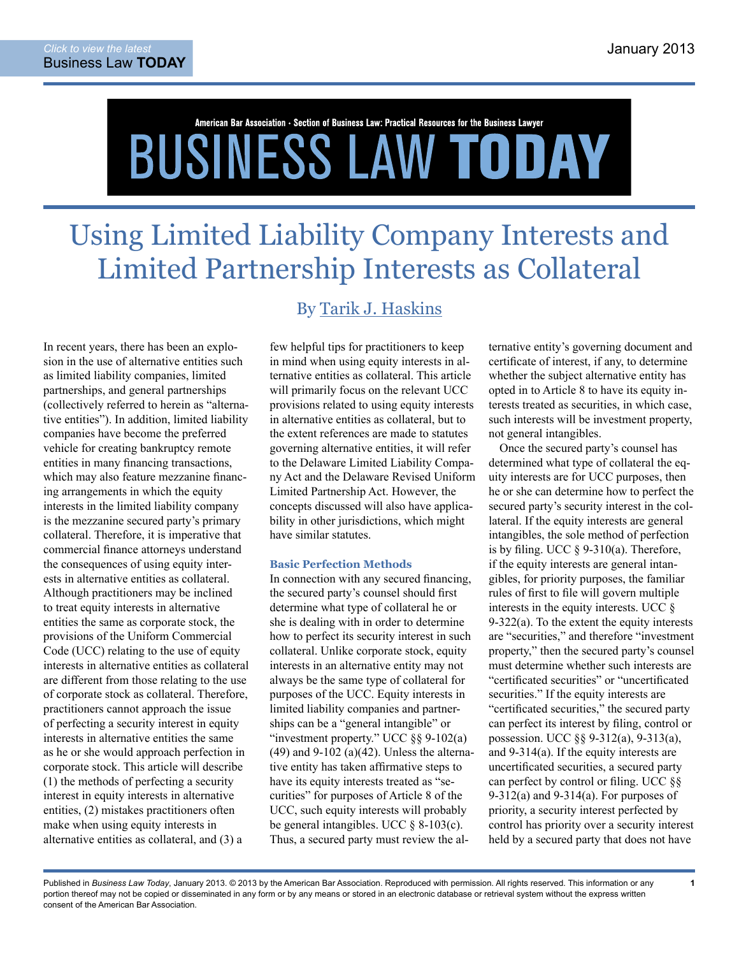# American Bar Association • Section of Business Law: Practical Resources for the Business Lawyer **BUSINESS LAW TODAY**

## Using Limited Liability Company Interests and Limited Partnership Interests as Collateral

In recent years, there has been an explosion in the use of alternative entities such as limited liability companies, limited partnerships, and general partnerships (collectively referred to herein as "alternative entities"). In addition, limited liability companies have become the preferred vehicle for creating bankruptcy remote entities in many financing transactions, which may also feature mezzanine financing arrangements in which the equity interests in the limited liability company is the mezzanine secured party's primary collateral. Therefore, it is imperative that commercial finance attorneys understand the consequences of using equity interests in alternative entities as collateral. Although practitioners may be inclined to treat equity interests in alternative entities the same as corporate stock, the provisions of the Uniform Commercial Code (UCC) relating to the use of equity interests in alternative entities as collateral are different from those relating to the use of corporate stock as collateral. Therefore, practitioners cannot approach the issue of perfecting a security interest in equity interests in alternative entities the same as he or she would approach perfection in corporate stock. This article will describe (1) the methods of perfecting a security interest in equity interests in alternative entities, (2) mistakes practitioners often make when using equity interests in alternative entities as collateral, and (3) a

### By [Tarik J. Haskins](http://www.mnat.com/attorneys-91.html)

few helpful tips for practitioners to keep in mind when using equity interests in alternative entities as collateral. This article will primarily focus on the relevant UCC provisions related to using equity interests in alternative entities as collateral, but to the extent references are made to statutes governing alternative entities, it will refer to the Delaware Limited Liability Company Act and the Delaware Revised Uniform Limited Partnership Act. However, the concepts discussed will also have applicability in other jurisdictions, which might have similar statutes.

#### **Basic Perfection Methods**

In connection with any secured financing, the secured party's counsel should first determine what type of collateral he or she is dealing with in order to determine how to perfect its security interest in such collateral. Unlike corporate stock, equity interests in an alternative entity may not always be the same type of collateral for purposes of the UCC. Equity interests in limited liability companies and partnerships can be a "general intangible" or "investment property." UCC  $\S$ § 9-102(a)  $(49)$  and  $9-102$  (a) $(42)$ . Unless the alternative entity has taken affirmative steps to have its equity interests treated as "securities" for purposes of Article 8 of the UCC, such equity interests will probably be general intangibles. UCC  $\&$  8-103(c). Thus, a secured party must review the al-

ternative entity's governing document and certificate of interest, if any, to determine whether the subject alternative entity has opted in to Article 8 to have its equity interests treated as securities, in which case, such interests will be investment property, not general intangibles.

Once the secured party's counsel has determined what type of collateral the equity interests are for UCC purposes, then he or she can determine how to perfect the secured party's security interest in the collateral. If the equity interests are general intangibles, the sole method of perfection is by filing. UCC  $\S$  9-310(a). Therefore, if the equity interests are general intangibles, for priority purposes, the familiar rules of first to file will govern multiple interests in the equity interests. UCC  $\delta$ 9-322(a). To the extent the equity interests are "securities," and therefore "investment property," then the secured party's counsel must determine whether such interests are "certificated securities" or "uncertificated securities." If the equity interests are "certificated securities," the secured party can perfect its interest by filing, control or possession. UCC §§ 9-312(a), 9-313(a), and 9-314(a). If the equity interests are uncertificated securities, a secured party can perfect by control or filing. UCC §§ 9-312(a) and 9-314(a). For purposes of priority, a security interest perfected by control has priority over a security interest held by a secured party that does not have

**1**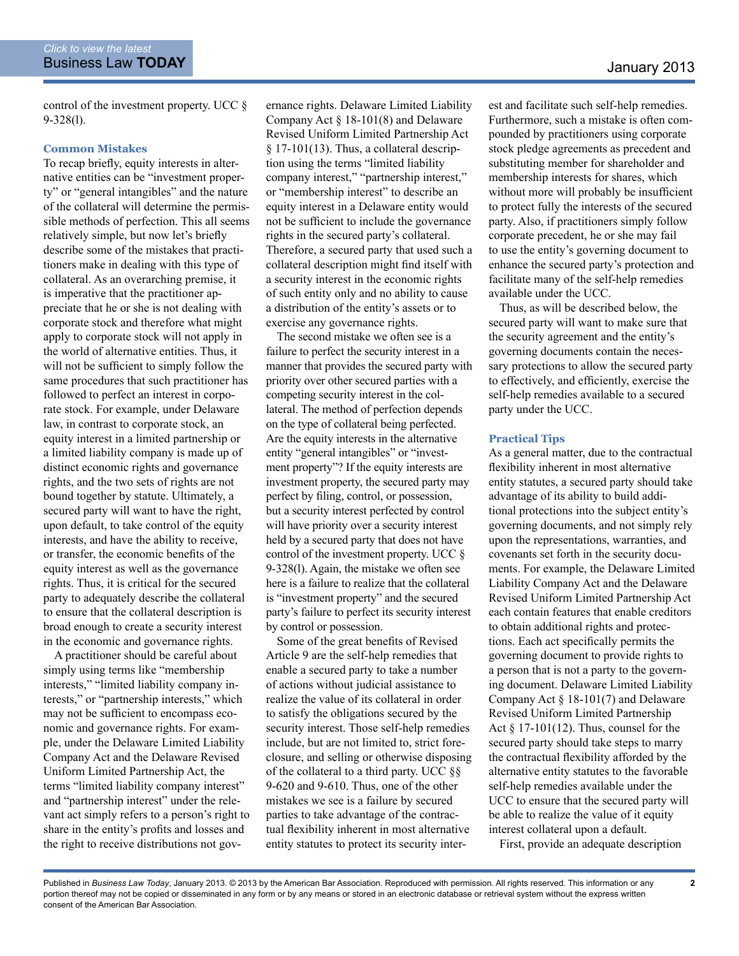control of the investment property. UCC § 9-328(l).

#### **Common Mistakes**

To recap briefly, equity interests in alternative entities can be "investment property" or "general intangibles" and the nature of the collateral will determine the permissible methods of perfection. This all seems relatively simple, but now let's briefly describe some of the mistakes that practitioners make in dealing with this type of collateral. As an overarching premise, it is imperative that the practitioner appreciate that he or she is not dealing with corporate stock and therefore what might apply to corporate stock will not apply in the world of alternative entities. Thus, it will not be sufficient to simply follow the same procedures that such practitioner has followed to perfect an interest in corporate stock. For example, under Delaware law, in contrast to corporate stock, an equity interest in a limited partnership or a limited liability company is made up of distinct economic rights and governance rights, and the two sets of rights are not bound together by statute. Ultimately, a secured party will want to have the right, upon default, to take control of the equity interests, and have the ability to receive, or transfer, the economic benefits of the equity interest as well as the governance rights. Thus, it is critical for the secured party to adequately describe the collateral to ensure that the collateral description is broad enough to create a security interest in the economic and governance rights.

A practitioner should be careful about simply using terms like "membership interests," "limited liability company interests," or "partnership interests," which may not be sufficient to encompass economic and governance rights. For example, under the Delaware Limited Liability Company Act and the Delaware Revised Uniform Limited Partnership Act, the terms "limited liability company interest" and "partnership interest" under the relevant act simply refers to a person's right to share in the entity's profits and losses and the right to receive distributions not governance rights. Delaware Limited Liability Company Act § 18-101(8) and Delaware Revised Uniform Limited Partnership Act § 17-101(13). Thus, a collateral description using the terms "limited liability company interest," "partnership interest," or "membership interest" to describe an equity interest in a Delaware entity would not be sufficient to include the governance rights in the secured party's collateral. Therefore, a secured party that used such a collateral description might find itself with a security interest in the economic rights of such entity only and no ability to cause a distribution of the entity's assets or to exercise any governance rights.

The second mistake we often see is a failure to perfect the security interest in a manner that provides the secured party with priority over other secured parties with a competing security interest in the collateral. The method of perfection depends on the type of collateral being perfected. Are the equity interests in the alternative entity "general intangibles" or "investment property"? If the equity interests are investment property, the secured party may perfect by filing, control, or possession, but a security interest perfected by control will have priority over a security interest held by a secured party that does not have control of the investment property. UCC § 9-328(l). Again, the mistake we often see here is a failure to realize that the collateral is "investment property" and the secured party's failure to perfect its security interest by control or possession.

Some of the great benefits of Revised Article 9 are the self-help remedies that enable a secured party to take a number of actions without judicial assistance to realize the value of its collateral in order to satisfy the obligations secured by the security interest. Those self-help remedies include, but are not limited to, strict foreclosure, and selling or otherwise disposing of the collateral to a third party. UCC §§ 9-620 and 9-610. Thus, one of the other mistakes we see is a failure by secured parties to take advantage of the contractual flexibility inherent in most alternative entity statutes to protect its security inter-

est and facilitate such self-help remedies. Furthermore, such a mistake is often compounded by practitioners using corporate stock pledge agreements as precedent and substituting member for shareholder and membership interests for shares, which without more will probably be insufficient to protect fully the interests of the secured party. Also, if practitioners simply follow corporate precedent, he or she may fail to use the entity's governing document to enhance the secured party's protection and facilitate many of the self-help remedies available under the UCC.

Thus, as will be described below, the secured party will want to make sure that the security agreement and the entity's governing documents contain the necessary protections to allow the secured party to effectively, and efficiently, exercise the self-help remedies available to a secured party under the UCC.

#### **Practical Tips**

As a general matter, due to the contractual flexibility inherent in most alternative entity statutes, a secured party should take advantage of its ability to build additional protections into the subject entity's governing documents, and not simply rely upon the representations, warranties, and covenants set forth in the security documents. For example, the Delaware Limited Liability Company Act and the Delaware Revised Uniform Limited Partnership Act each contain features that enable creditors to obtain additional rights and protections. Each act specifically permits the governing document to provide rights to a person that is not a party to the governing document. Delaware Limited Liability Company Act § 18-101(7) and Delaware Revised Uniform Limited Partnership Act  $\S 17-101(12)$ . Thus, counsel for the secured party should take steps to marry the contractual flexibility afforded by the alternative entity statutes to the favorable self-help remedies available under the UCC to ensure that the secured party will be able to realize the value of it equity interest collateral upon a default.

First, provide an adequate description

Published in *Business Law Today*, January 2013. © 2013 by the American Bar Association. Reproduced with permission. All rights reserved. This information or any portion thereof may not be copied or disseminated in any form or by any means or stored in an electronic database or retrieval system without the express written consent of the American Bar Association.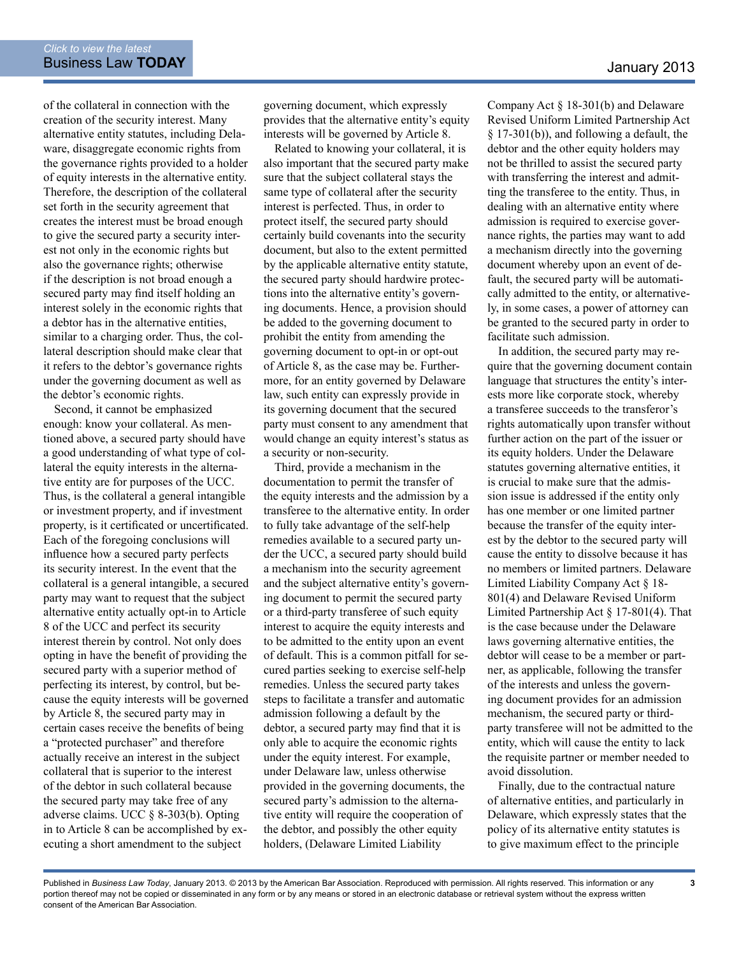of the collateral in connection with the creation of the security interest. Many alternative entity statutes, including Delaware, disaggregate economic rights from the governance rights provided to a holder of equity interests in the alternative entity. Therefore, the description of the collateral set forth in the security agreement that creates the interest must be broad enough to give the secured party a security interest not only in the economic rights but also the governance rights; otherwise if the description is not broad enough a secured party may find itself holding an interest solely in the economic rights that a debtor has in the alternative entities, similar to a charging order. Thus, the collateral description should make clear that it refers to the debtor's governance rights under the governing document as well as the debtor's economic rights.

Second, it cannot be emphasized enough: know your collateral. As mentioned above, a secured party should have a good understanding of what type of collateral the equity interests in the alternative entity are for purposes of the UCC. Thus, is the collateral a general intangible or investment property, and if investment property, is it certificated or uncertificated. Each of the foregoing conclusions will influence how a secured party perfects its security interest. In the event that the collateral is a general intangible, a secured party may want to request that the subject alternative entity actually opt-in to Article 8 of the UCC and perfect its security interest therein by control. Not only does opting in have the benefit of providing the secured party with a superior method of perfecting its interest, by control, but because the equity interests will be governed by Article 8, the secured party may in certain cases receive the benefits of being a "protected purchaser" and therefore actually receive an interest in the subject collateral that is superior to the interest of the debtor in such collateral because the secured party may take free of any adverse claims. UCC § 8-303(b). Opting in to Article 8 can be accomplished by executing a short amendment to the subject

governing document, which expressly provides that the alternative entity's equity interests will be governed by Article 8.

Related to knowing your collateral, it is also important that the secured party make sure that the subject collateral stays the same type of collateral after the security interest is perfected. Thus, in order to protect itself, the secured party should certainly build covenants into the security document, but also to the extent permitted by the applicable alternative entity statute, the secured party should hardwire protections into the alternative entity's governing documents. Hence, a provision should be added to the governing document to prohibit the entity from amending the governing document to opt-in or opt-out of Article 8, as the case may be. Furthermore, for an entity governed by Delaware law, such entity can expressly provide in its governing document that the secured party must consent to any amendment that would change an equity interest's status as a security or non-security.

Third, provide a mechanism in the documentation to permit the transfer of the equity interests and the admission by a transferee to the alternative entity. In order to fully take advantage of the self-help remedies available to a secured party under the UCC, a secured party should build a mechanism into the security agreement and the subject alternative entity's governing document to permit the secured party or a third-party transferee of such equity interest to acquire the equity interests and to be admitted to the entity upon an event of default. This is a common pitfall for secured parties seeking to exercise self-help remedies. Unless the secured party takes steps to facilitate a transfer and automatic admission following a default by the debtor, a secured party may find that it is only able to acquire the economic rights under the equity interest. For example, under Delaware law, unless otherwise provided in the governing documents, the secured party's admission to the alternative entity will require the cooperation of the debtor, and possibly the other equity holders, (Delaware Limited Liability

Company Act § 18-301(b) and Delaware Revised Uniform Limited Partnership Act § 17-301(b)), and following a default, the debtor and the other equity holders may not be thrilled to assist the secured party with transferring the interest and admitting the transferee to the entity. Thus, in dealing with an alternative entity where admission is required to exercise governance rights, the parties may want to add a mechanism directly into the governing document whereby upon an event of default, the secured party will be automatically admitted to the entity, or alternatively, in some cases, a power of attorney can be granted to the secured party in order to facilitate such admission.

In addition, the secured party may require that the governing document contain language that structures the entity's interests more like corporate stock, whereby a transferee succeeds to the transferor's rights automatically upon transfer without further action on the part of the issuer or its equity holders. Under the Delaware statutes governing alternative entities, it is crucial to make sure that the admission issue is addressed if the entity only has one member or one limited partner because the transfer of the equity interest by the debtor to the secured party will cause the entity to dissolve because it has no members or limited partners. Delaware Limited Liability Company Act § 18- 801(4) and Delaware Revised Uniform Limited Partnership Act § 17-801(4). That is the case because under the Delaware laws governing alternative entities, the debtor will cease to be a member or partner, as applicable, following the transfer of the interests and unless the governing document provides for an admission mechanism, the secured party or thirdparty transferee will not be admitted to the entity, which will cause the entity to lack the requisite partner or member needed to avoid dissolution.

Finally, due to the contractual nature of alternative entities, and particularly in Delaware, which expressly states that the policy of its alternative entity statutes is to give maximum effect to the principle

**3**

Published in *Business Law Today*, January 2013. © 2013 by the American Bar Association. Reproduced with permission. All rights reserved. This information or any portion thereof may not be copied or disseminated in any form or by any means or stored in an electronic database or retrieval system without the express written consent of the American Bar Association.